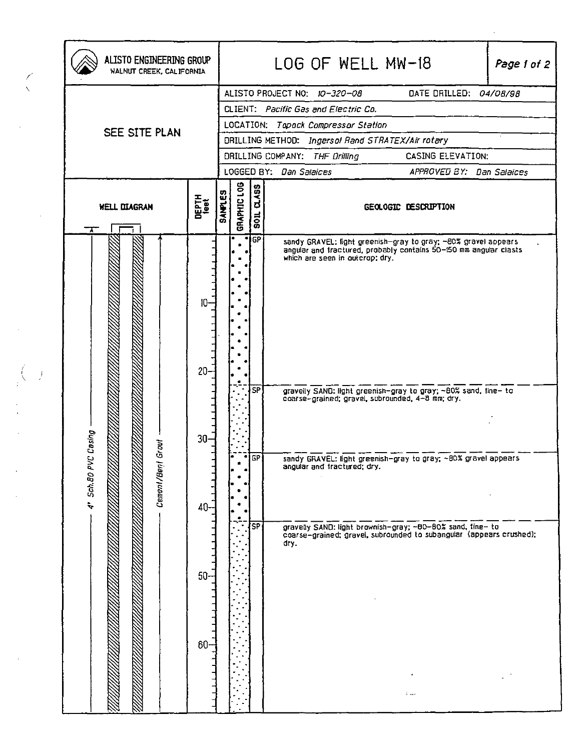| ALISTO ENGINEERING GROUP<br>WALNUT CREEK, CALIFORNIA |                          |                | LOG OF WELL MW-18<br>Page 1 of 2                       |                        |                                                                                                                                                                                                                                                                                            |                      |  |  |
|------------------------------------------------------|--------------------------|----------------|--------------------------------------------------------|------------------------|--------------------------------------------------------------------------------------------------------------------------------------------------------------------------------------------------------------------------------------------------------------------------------------------|----------------------|--|--|
| SEE SITE PLAN                                        |                          |                | DATE DRILLED: 04/08/98<br>ALISTO PROJECT NO: 10-320-08 |                        |                                                                                                                                                                                                                                                                                            |                      |  |  |
|                                                      |                          |                | CLIENT: Pacific Gas and Electric Co.                   |                        |                                                                                                                                                                                                                                                                                            |                      |  |  |
|                                                      |                          |                | LOCATION: Topack Compressor Station                    |                        |                                                                                                                                                                                                                                                                                            |                      |  |  |
|                                                      |                          |                | DRILLING METHOD: Ingersol Rand STRATEX/Air rotary      |                        |                                                                                                                                                                                                                                                                                            |                      |  |  |
|                                                      |                          |                | DRILLING COMPANY: THE Drilling<br>CASING ELEVATION:    |                        |                                                                                                                                                                                                                                                                                            |                      |  |  |
|                                                      |                          |                | LOGGED BY: Dan Salaices<br>APPROVED BY: Dan Salaices   |                        |                                                                                                                                                                                                                                                                                            |                      |  |  |
| <b>WELL DIAGRAN</b><br>↴                             | DEPTH<br><sup>1991</sup> | <b>SAMPLES</b> | <b>GRAPHIC LOG</b><br>02455<br>$\frac{1}{2}$           |                        |                                                                                                                                                                                                                                                                                            | GEOLOGIC DESCRIPTION |  |  |
| Casing<br>Gr out<br>4' Sch.80 PVC<br>Cemen/Benl      | 10<br>$20 -$             |                |                                                        | <b>GP</b><br><b>SP</b> | sandy GRAVEL: light greenish-gray to gray; ~80% gravel appears<br>angular and tractured, probably contains 50-150 mm angular clasts<br>which are seen in outcrop; dry.<br>gravelly SAND: light greenish-gray to gray; ~80% sand, fine- to coarse-grained; gravel, subrounded, 4-8 mm; dry. |                      |  |  |
|                                                      | $30 -$<br>40             |                | $\bullet$                                              | ice l                  | sandy GRAVEL: light greenish-gray to gray; ~80% gravel appears<br>angular and fractured; dry.                                                                                                                                                                                              |                      |  |  |
|                                                      | $50 -$<br>$60-$          |                |                                                        | $\overline{\text{SP}}$ | gravely SAND: light brownish-gray; ~80-80% sand, tine- to<br>coarse-grained; gravel, subrounded to subangular (appears crushed);<br>dry.                                                                                                                                                   | a <sub>11</sub>      |  |  |

 $\sim 10^{11}$ 

 $\left(\frac{1}{2}\right)$ 

 $\bar{\mathcal{L}}$ 

 $\begin{pmatrix} 1 & 0 \\ 0 & 1 \end{pmatrix}$ 

 $\frac{1}{2}$ 

 $\hat{J}$